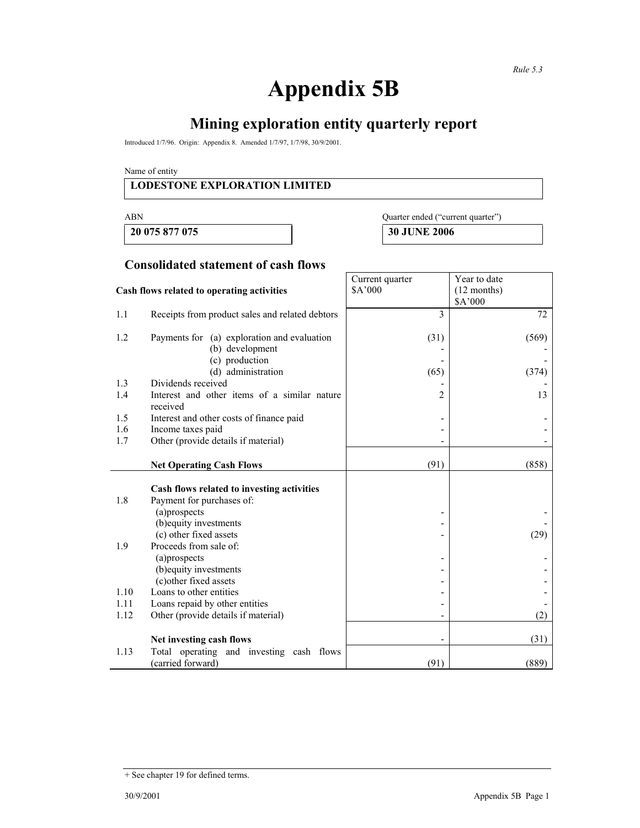# **Appendix 5B**

# **Mining exploration entity quarterly report**

Introduced 1/7/96. Origin: Appendix 8. Amended 1/7/97, 1/7/98, 30/9/2001.

Name of entity

#### **LODESTONE EXPLORATION LIMITED**

 **20 075 877 075 30 JUNE 2006** 

| ----------- | $\sim$ $\sim$ $\sim$ $\sim$ $\sim$ $\sim$ $\sim$ |
|-------------|--------------------------------------------------|
| ABN         | Quarter ended ("current quarter"                 |

**Consolidated statement of cash flows**

|                                            |                                                          | Current quarter          | Year to date  |
|--------------------------------------------|----------------------------------------------------------|--------------------------|---------------|
| Cash flows related to operating activities |                                                          | \$A'000                  | $(12$ months) |
|                                            |                                                          |                          | \$A'000       |
| 1.1                                        | Receipts from product sales and related debtors          | 3                        | 72            |
| 1.2                                        | Payments for (a) exploration and evaluation              | (31)                     | (569)         |
|                                            | (b) development                                          |                          |               |
|                                            | (c) production                                           |                          |               |
|                                            | (d) administration                                       | (65)                     | (374)         |
| 1.3                                        | Dividends received                                       |                          |               |
| 1.4                                        | Interest and other items of a similar nature<br>received | 2                        | 13            |
| 1.5                                        | Interest and other costs of finance paid                 | $\overline{a}$           |               |
| 1.6                                        | Income taxes paid                                        |                          |               |
| 1.7                                        | Other (provide details if material)                      |                          |               |
|                                            |                                                          |                          |               |
|                                            | <b>Net Operating Cash Flows</b>                          | (91)                     | (858)         |
|                                            |                                                          |                          |               |
|                                            | Cash flows related to investing activities               |                          |               |
| 1.8                                        | Payment for purchases of:                                |                          |               |
|                                            | (a)prospects                                             | $\overline{a}$           |               |
|                                            | (b) equity investments                                   |                          |               |
|                                            | (c) other fixed assets                                   |                          | (29)          |
| 1.9                                        | Proceeds from sale of:                                   |                          |               |
|                                            | (a)prospects                                             |                          |               |
|                                            | (b) equity investments                                   |                          |               |
|                                            | (c) other fixed assets                                   |                          |               |
| 1.10                                       | Loans to other entities                                  |                          |               |
| 1.11                                       | Loans repaid by other entities                           |                          |               |
| 1.12                                       | Other (provide details if material)                      | $\overline{\phantom{a}}$ | (2)           |
|                                            |                                                          |                          |               |
|                                            | Net investing cash flows                                 | $\overline{\phantom{a}}$ | (31)          |
| 1.13                                       | Total operating and investing cash flows                 |                          |               |
|                                            | (carried forward)                                        | (91)                     | (889)         |

<sup>+</sup> See chapter 19 for defined terms.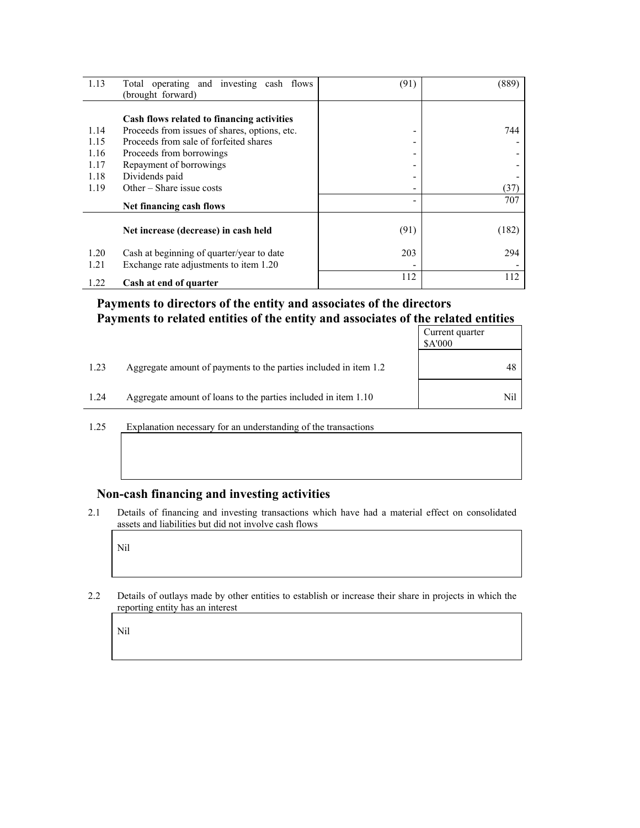| 1.13 | Total operating and investing cash flows      | (91) | (889) |
|------|-----------------------------------------------|------|-------|
|      | (brought forward)                             |      |       |
|      |                                               |      |       |
|      | Cash flows related to financing activities    |      |       |
| 1.14 | Proceeds from issues of shares, options, etc. | ۰    | 744   |
| 1.15 | Proceeds from sale of forfeited shares        | -    |       |
| 1.16 | Proceeds from borrowings                      | -    |       |
| 1.17 | Repayment of borrowings                       |      |       |
| 1.18 | Dividends paid                                | -    |       |
| 1.19 | Other $-$ Share issue costs                   | ۰    | (37)  |
|      | Net financing cash flows                      |      | 707   |
|      |                                               |      |       |
|      | Net increase (decrease) in cash held          | (91) | (182) |
| 1.20 | Cash at beginning of quarter/year to date     | 203  | 294   |
| 1.21 | Exchange rate adjustments to item 1.20        |      |       |
|      |                                               | 112  | 112   |
| 1.22 | Cash at end of quarter                        |      |       |

### **Payments to directors of the entity and associates of the directors Payments to related entities of the entity and associates of the related entities**

|      |                                                                  | Current quarter<br>\$A'000 |
|------|------------------------------------------------------------------|----------------------------|
| 1.23 | Aggregate amount of payments to the parties included in item 1.2 | 48                         |
| 1.24 | Aggregate amount of loans to the parties included in item 1.10   | Nil                        |

1.25 Explanation necessary for an understanding of the transactions

#### **Non-cash financing and investing activities**

2.1 Details of financing and investing transactions which have had a material effect on consolidated assets and liabilities but did not involve cash flows

Nil

2.2 Details of outlays made by other entities to establish or increase their share in projects in which the reporting entity has an interest

Nil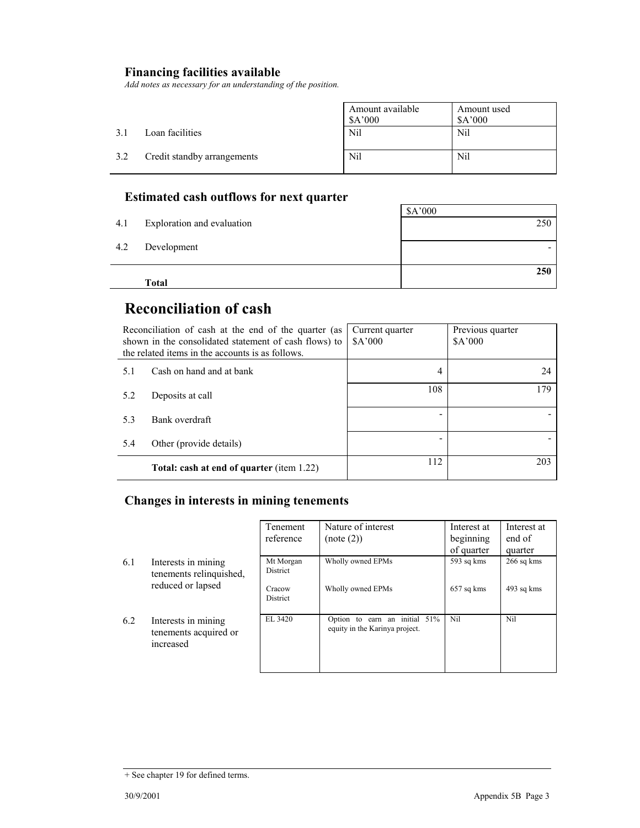## **Financing facilities available**

*Add notes as necessary for an understanding of the position.* 

|     |                             | Amount available<br>\$A'000 | Amount used<br>\$A'000 |
|-----|-----------------------------|-----------------------------|------------------------|
| 3.1 | Loan facilities             | <b>Nil</b>                  | Nil                    |
| 3.2 | Credit standby arrangements | Nil                         | Nil                    |

## **Estimated cash outflows for next quarter**

|     |                            | \$A'000 |
|-----|----------------------------|---------|
| 4.1 | Exploration and evaluation | 250     |
|     |                            |         |
| 4.2 | Development                |         |
|     |                            |         |
|     |                            | 250     |
|     | Total                      |         |

## **Reconciliation of cash**

| Reconciliation of cash at the end of the quarter (as<br>shown in the consolidated statement of cash flows) to<br>the related items in the accounts is as follows. |                                                  | Current quarter<br>\$A'000 | Previous quarter<br>\$A'000 |
|-------------------------------------------------------------------------------------------------------------------------------------------------------------------|--------------------------------------------------|----------------------------|-----------------------------|
| 5.1                                                                                                                                                               | Cash on hand and at bank                         | 4                          | 24                          |
| 5.2                                                                                                                                                               | Deposits at call                                 | 108                        | 179                         |
| 5.3                                                                                                                                                               | Bank overdraft                                   |                            |                             |
| 5.4                                                                                                                                                               | Other (provide details)                          |                            |                             |
|                                                                                                                                                                   | <b>Total: cash at end of quarter (item 1.22)</b> | 112                        | 203                         |

### **Changes in interests in mining tenements**

|     |                                                           | Tenement<br>reference     | Nature of interest<br>(note (2))                                   | Interest at<br>beginning | Interest at<br>end of |
|-----|-----------------------------------------------------------|---------------------------|--------------------------------------------------------------------|--------------------------|-----------------------|
|     |                                                           |                           |                                                                    | of quarter               | quarter               |
| 6.1 | Interests in mining<br>tenements relinquished,            | Mt Morgan<br>District     | Wholly owned EPMs                                                  | 593 sq kms               | $266$ sq kms          |
|     | reduced or lapsed                                         | Cracow<br><b>District</b> | Wholly owned EPMs                                                  | 657 sq kms               | 493 sq kms            |
| 6.2 | Interests in mining<br>tenements acquired or<br>increased | EL 3420                   | earn an initial 51%<br>Option to<br>equity in the Karinya project. | Nil                      | Nil                   |

<sup>+</sup> See chapter 19 for defined terms.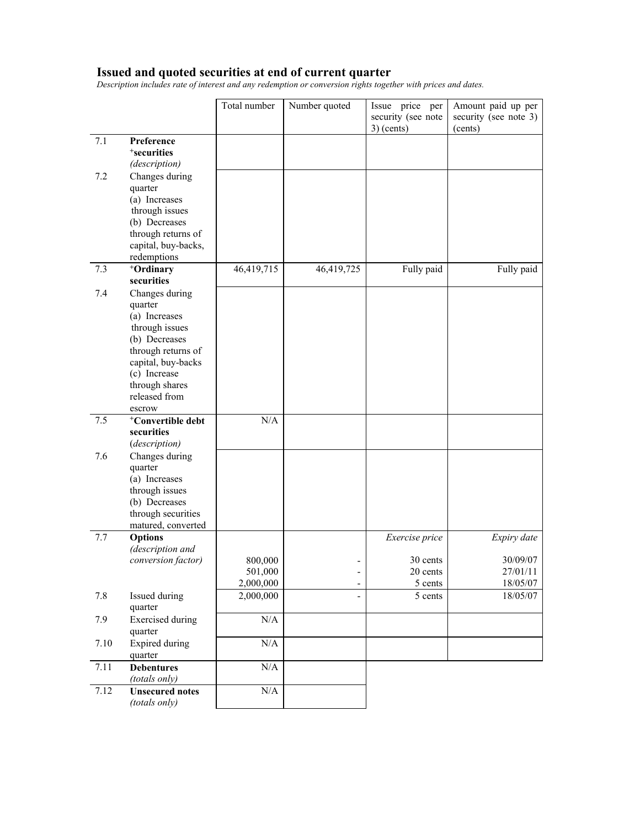#### **Issued and quoted securities at end of current quarter**

*Description includes rate of interest and any redemption or conversion rights together with prices and dates.* 

|      |                                                                                                                                                                                        | Total number                    | Number quoted            | Issue price per<br>security (see note<br>$3)$ (cents) | Amount paid up per<br>security (see note 3)<br>(cents) |
|------|----------------------------------------------------------------------------------------------------------------------------------------------------------------------------------------|---------------------------------|--------------------------|-------------------------------------------------------|--------------------------------------------------------|
| 7.1  | Preference<br><sup>+</sup> securities<br>(description)                                                                                                                                 |                                 |                          |                                                       |                                                        |
| 7.2  | Changes during<br>quarter<br>(a) Increases<br>through issues<br>(b) Decreases<br>through returns of<br>capital, buy-backs,<br>redemptions                                              |                                 |                          |                                                       |                                                        |
| 7.3  | <sup>+</sup> Ordinary<br>securities                                                                                                                                                    | 46,419,715                      | 46,419,725               | Fully paid                                            | Fully paid                                             |
| 7.4  | Changes during<br>quarter<br>(a) Increases<br>through issues<br>(b) Decreases<br>through returns of<br>capital, buy-backs<br>(c) Increase<br>through shares<br>released from<br>escrow |                                 |                          |                                                       |                                                        |
| 7.5  | <sup>+</sup> Convertible debt<br>securities<br>(description)                                                                                                                           | N/A                             |                          |                                                       |                                                        |
| 7.6  | Changes during<br>quarter<br>(a) Increases<br>through issues<br>(b) Decreases<br>through securities<br>matured, converted                                                              |                                 |                          |                                                       |                                                        |
| 7.7  | <b>Options</b><br>(description and                                                                                                                                                     |                                 |                          | Exercise price                                        | Expiry date                                            |
|      | conversion factor)                                                                                                                                                                     | 800,000<br>501,000<br>2,000,000 | $\overline{\phantom{0}}$ | 30 cents<br>20 cents<br>5 cents                       | 30/09/07<br>27/01/11<br>18/05/07                       |
| 7.8  | Issued during<br>quarter                                                                                                                                                               | 2,000,000                       |                          | 5 cents                                               | 18/05/07                                               |
| 7.9  | <b>Exercised</b> during<br>quarter                                                                                                                                                     | $\rm N/A$                       |                          |                                                       |                                                        |
| 7.10 | <b>Expired during</b><br>quarter                                                                                                                                                       | N/A                             |                          |                                                       |                                                        |
| 7.11 | <b>Debentures</b><br>(totals only)                                                                                                                                                     | $\rm N/A$                       |                          |                                                       |                                                        |
| 7.12 | <b>Unsecured notes</b><br>(totals only)                                                                                                                                                | $\rm N/A$                       |                          |                                                       |                                                        |